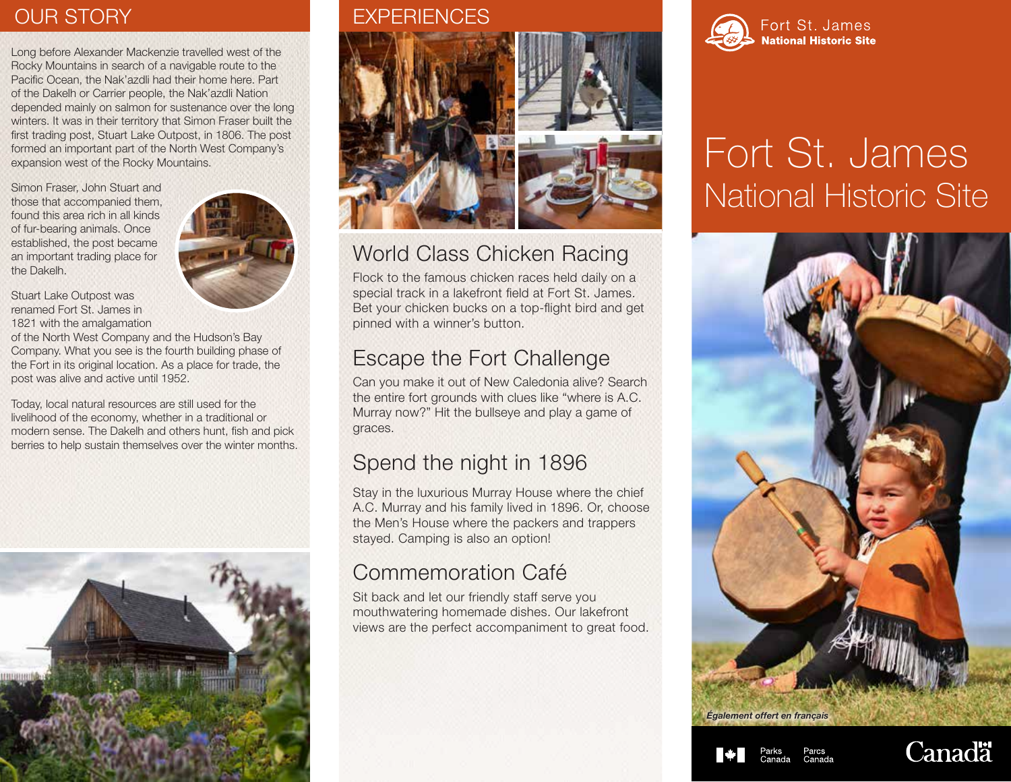Long before Alexander Mackenzie travelled west of the Rocky Mountains in search of a navigable route to the Pacific Ocean, the Nak'azdli had their home here. Part of the Dakelh or Carrier people, the Nak'azdli Nation depended mainly on salmon for sustenance over the long winters. It was in their territory that Simon Fraser built the first trading post, Stuart Lake Outpost, in 1806. The post formed an important part of the North West Company's expansion west of the Rocky Mountains.

Simon Fraser, John Stuart and those that accompanied them, found this area rich in all kinds of fur-bearing animals. Once established, the post became an important trading place for the Dakelh.



Stuart Lake Outpost was renamed Fort St. James in 1821 with the amalgamation

of the North West Company and the Hudson's Bay Company. What you see is the fourth building phase of the Fort in its original location. As a place for trade, the post was alive and active until 1952.

Today, local natural resources are still used for the livelihood of the economy, whether in a traditional or modern sense. The Dakelh and others hunt, fish and pick berries to help sustain themselves over the winter months.



### OUR STORY EXPERIENCES



## World Class Chicken Racing

Flock to the famous chicken races held daily on a special track in a lakefront field at Fort St. James. Bet your chicken bucks on a top-flight bird and get pinned with a winner's button.

# Escape the Fort Challenge

Can you make it out of New Caledonia alive? Search the entire fort grounds with clues like "where is A.C. Murray now?" Hit the bullseye and play a game of graces.

# Spend the night in 1896

Stay in the luxurious Murray House where the chief A.C. Murray and his family lived in 1896. Or, choose the Men's House where the packers and trappers stayed. Camping is also an option!

# Commemoration Café

Sit back and let our friendly staff serve you mouthwatering homemade dishes. Our lakefront views are the perfect accompaniment to great food.



# Fort St. James National Historic Site